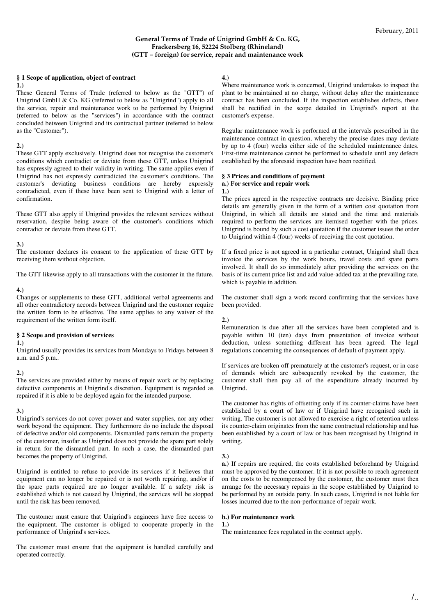# **General Terms of Trade of Unigrind GmbH & Co. KG, Frackersberg 16, 52224 Stolberg (Rhineland) (GTT – foreign) for service, repair and maintenance work**

# **§ 1 Scope of application, object of contract**

### **1.)**

These General Terms of Trade (referred to below as the "GTT") of Unigrind GmbH & Co. KG (referred to below as "Unigrind") apply to all the service, repair and maintenance work to be performed by Unigrind (referred to below as the "services") in accordance with the contract concluded between Unigrind and its contractual partner (referred to below as the "Customer").

# **2.)**

These GTT apply exclusively. Unigrind does not recognise the customer's conditions which contradict or deviate from these GTT, unless Unigrind has expressly agreed to their validity in writing. The same applies even if Unigrind has not expressly contradicted the customer's conditions. The customer's deviating business conditions are hereby expressly contradicted, even if these have been sent to Unigrind with a letter of confirmation.

These GTT also apply if Unigrind provides the relevant services without reservation, despite being aware of the customer's conditions which contradict or deviate from these GTT.

# **3.)**

The customer declares its consent to the application of these GTT by receiving them without objection.

The GTT likewise apply to all transactions with the customer in the future.

### **4.)**

Changes or supplements to these GTT, additional verbal agreements and all other contradictory accords between Unigrind and the customer require the written form to be effective. The same applies to any waiver of the requirement of the written form itself.

# **§ 2 Scope and provision of services**

### **1.)**

Unigrind usually provides its services from Mondays to Fridays between 8 a.m. and  $5 \text{ p.m.}$ 

# **2.)**

The services are provided either by means of repair work or by replacing defective components at Unigrind's discretion. Equipment is regarded as repaired if it is able to be deployed again for the intended purpose.

# **3.)**

Unigrind's services do not cover power and water supplies, nor any other work beyond the equipment. They furthermore do no include the disposal of defective and/or old components. Dismantled parts remain the property of the customer, insofar as Unigrind does not provide the spare part solely in return for the dismantled part. In such a case, the dismantled part becomes the property of Unigrind.

Unigrind is entitled to refuse to provide its services if it believes that equipment can no longer be repaired or is not worth repairing, and/or if the spare parts required are no longer available. If a safety risk is established which is not caused by Unigrind, the services will be stopped until the risk has been removed.

The customer must ensure that Unigrind's engineers have free access to the equipment. The customer is obliged to cooperate properly in the performance of Unigrind's services.

The customer must ensure that the equipment is handled carefully and operated correctly.

# **4.)**

Where maintenance work is concerned, Unigrind undertakes to inspect the plant to be maintained at no charge, without delay after the maintenance contract has been concluded. If the inspection establishes defects, these shall be rectified in the scope detailed in Unigrind's report at the customer's expense.

Regular maintenance work is performed at the intervals prescribed in the maintenance contract in question, whereby the precise dates may deviate by up to 4 (four) weeks either side of the scheduled maintenance dates. First-time maintenance cannot be performed to schedule until any defects established by the aforesaid inspection have been rectified.

# **§ 3 Prices and conditions of payment a.) For service and repair work**

#### **1.)**

The prices agreed in the respective contracts are decisive. Binding price details are generally given in the form of a written cost quotation from Unigrind, in which all details are stated and the time and materials required to perform the services are itemised together with the prices. Unigrind is bound by such a cost quotation if the customer issues the order to Unigrind within 4 (four) weeks of receiving the cost quotation.

If a fixed price is not agreed in a particular contract, Unigrind shall then invoice the services by the work hours, travel costs and spare parts involved. It shall do so immediately after providing the services on the basis of its current price list and add value-added tax at the prevailing rate, which is payable in addition.

The customer shall sign a work record confirming that the services have been provided.

#### **2.)**

Remuneration is due after all the services have been completed and is payable within 10 (ten) days from presentation of invoice without deduction, unless something different has been agreed. The legal regulations concerning the consequences of default of payment apply.

If services are broken off prematurely at the customer's request, or in case of demands which are subsequently revoked by the customer, the customer shall then pay all of the expenditure already incurred by Unigrind.

The customer has rights of offsetting only if its counter-claims have been established by a court of law or if Unigrind have recognised such in writing. The customer is not allowed to exercise a right of retention unless its counter-claim originates from the same contractual relationship and has been established by a court of law or has been recognised by Unigrind in writing.

# **3.)**

**a.)** If repairs are required, the costs established beforehand by Unigrind must be approved by the customer. If it is not possible to reach agreement on the costs to be recompensed by the customer, the customer must then arrange for the necessary repairs in the scope established by Unigrind to be performed by an outside party. In such cases, Unigrind is not liable for losses incurred due to the non-performance of repair work.

# **b.) For maintenance work**

**1.)**  The maintenance fees regulated in the contract apply.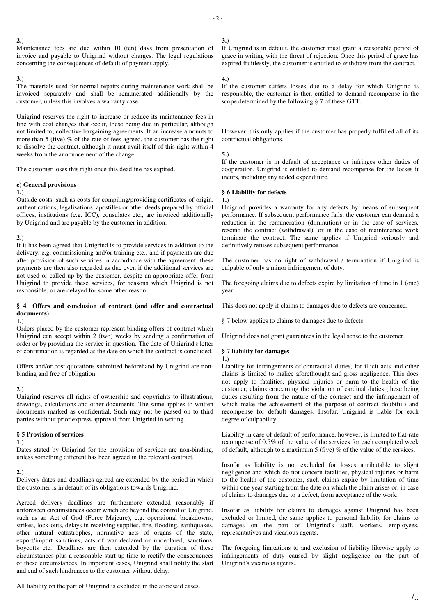### **2.)**

Maintenance fees are due within 10 (ten) days from presentation of invoice and payable to Unigrind without charges. The legal regulations concerning the consequences of default of payment apply.

### **3.)**

The materials used for normal repairs during maintenance work shall be invoiced separately and shall be remunerated additionally by the customer, unless this involves a warranty case.

Unigrind reserves the right to increase or reduce its maintenance fees in line with cost changes that occur, these being due in particular, although not limited to, collective bargaining agreements. If an increase amounts to more than 5 (five) % of the rate of fees agreed, the customer has the right to dissolve the contract, although it must avail itself of this right within 4 weeks from the announcement of the change.

The customer loses this right once this deadline has expired.

# **c) General provisions**

#### **1.)**

Outside costs, such as costs for compiling/providing certificates of origin, authentications, legalisations, apostilles or other deeds prepared by official offices, institutions (e.g. ICC), consulates etc., are invoiced additionally by Unigrind and are payable by the customer in addition.

# **2.)**

If it has been agreed that Unigrind is to provide services in addition to the delivery, e.g. commissioning and/or training etc., and if payments are due after provision of such services in accordance with the agreement, these payments are then also regarded as due even if the additional services are not used or called up by the customer, despite an appropriate offer from Unigrind to provide these services, for reasons which Unigrind is not responsible, or are delayed for some other reason.

# **§ 4 Offers and conclusion of contract (and offer and contractual documents)**

### **1.)**

Orders placed by the customer represent binding offers of contract which Unigrind can accept within 2 (two) weeks by sending a confirmation of order or by providing the service in question. The date of Unigrind's letter of confirmation is regarded as the date on which the contract is concluded.

Offers and/or cost quotations submitted beforehand by Unigrind are nonbinding and free of obligation.

### **2.)**

Unigrind reserves all rights of ownership and copyrights to illustrations, drawings, calculations and other documents. The same applies to written documents marked as confidential. Such may not be passed on to third parties without prior express approval from Unigrind in writing.

# **§ 5 Provision of services**

# **1.)**

Dates stated by Unigrind for the provision of services are non-binding, unless something different has been agreed in the relevant contract.

# **2.)**

Delivery dates and deadlines agreed are extended by the period in which the customer is in default of its obligations towards Unigrind.

Agreed delivery deadlines are furthermore extended reasonably if unforeseen circumstances occur which are beyond the control of Unigrind, such as an Act of God (Force Majeure), e.g. operational breakdowns, strikes, lock-outs, delays in receiving supplies, fire, flooding, earthquakes, other natural catastrophes, normative acts of organs of the state, export/import sanctions, acts of war declared or undeclared, sanctions, boycotts etc.. Deadlines are then extended by the duration of these circumstances plus a reasonable start-up time to rectify the consequences of these circumstances. In important cases, Unigrind shall notify the start and end of such hindrances to the customer without delay.

All liability on the part of Unigrind is excluded in the aforesaid cases.

# **3.)**

If Unigrind is in default, the customer must grant a reasonable period of grace in writing with the threat of rejection. Once this period of grace has expired fruitlessly, the customer is entitled to withdraw from the contract.

### **4.)**

If the customer suffers losses due to a delay for which Unigrind is responsible, the customer is then entitled to demand recompense in the scope determined by the following § 7 of these GTT.

However, this only applies if the customer has properly fulfilled all of its contractual obligations.

### **5.)**

If the customer is in default of acceptance or infringes other duties of cooperation, Unigrind is entitled to demand recompense for the losses it incurs, including any added expenditure.

#### **§ 6 Liability for defects 1.)**

Unigrind provides a warranty for any defects by means of subsequent performance. If subsequent performance fails, the customer can demand a reduction in the remuneration (diminution) or in the case of services, rescind the contract (withdrawal), or in the case of maintenance work terminate the contract. The same applies if Unigrind seriously and definitively refuses subsequent performance.

The customer has no right of withdrawal / termination if Unigrind is culpable of only a minor infringement of duty.

The foregoing claims due to defects expire by limitation of time in 1 (one) year.

This does not apply if claims to damages due to defects are concerned.

§ 7 below applies to claims to damages due to defects.

Unigrind does not grant guarantees in the legal sense to the customer.

# **§ 7 liability for damages**

### **1.)**

Liability for infringements of contractual duties, for illicit acts and other claims is limited to malice aforethought and gross negligence. This does not apply to fatalities, physical injuries or harm to the health of the customer, claims concerning the violation of cardinal duties (these being duties resulting from the nature of the contract and the infringement of which make the achievement of the purpose of contract doubtful) and recompense for default damages. Insofar, Unigrind is liable for each degree of culpability.

Liability in case of default of performance, however, is limited to flat-rate recompense of 0.5% of the value of the services for each completed week of default, although to a maximum 5 (five) % of the value of the services.

Insofar as liability is not excluded for losses attributable to slight negligence and which do not concern fatalities, physical injuries or harm to the health of the customer, such claims expire by limitation of time within one year starting from the date on which the claim arises or, in case of claims to damages due to a defect, from acceptance of the work.

Insofar as liability for claims to damages against Unigrind has been excluded or limited, the same applies to personal liability for claims to damages on the part of Unigrind's staff, workers, employees, representatives and vicarious agents.

The foregoing limitations to and exclusion of liability likewise apply to infringements of duty caused by slight negligence on the part of Unigrind's vicarious agents..